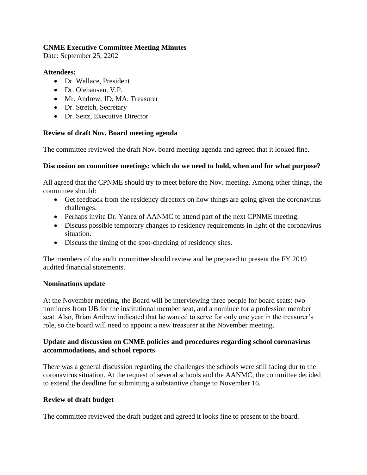# **CNME Executive Committee Meeting Minutes**

Date: September 25, 2202

#### **Attendees:**

- Dr. Wallace, President
- Dr. Olehausen, V.P.
- Mr. Andrew, JD, MA, Treasurer
- Dr. Stretch, Secretary
- Dr. Seitz, Executive Director

### **Review of draft Nov. Board meeting agenda**

The committee reviewed the draft Nov. board meeting agenda and agreed that it looked fine.

### **Discussion on committee meetings: which do we need to hold, when and for what purpose?**

All agreed that the CPNME should try to meet before the Nov. meeting. Among other things, the committee should:

- Get feedback from the residency directors on how things are going given the coronavirus challenges.
- Perhaps invite Dr. Yanez of AANMC to attend part of the next CPNME meeting.
- Discuss possible temporary changes to residency requirements in light of the coronavirus situation.
- Discuss the timing of the spot-checking of residency sites.

The members of the audit committee should review and be prepared to present the FY 2019 audited financial statements.

# **Nominations update**

At the November meeting, the Board will be interviewing three people for board seats: two nominees from UB for the institutional member seat, and a nominee for a profession member seat. Also, Brian Andrew indicated that he wanted to serve for only one year in the treasurer's role, so the board will need to appoint a new treasurer at the November meeting.

# **Update and discussion on CNME policies and procedures regarding school coronavirus accommodations, and school reports**

There was a general discussion regarding the challenges the schools were still facing dur to the coronavirus situation. At the request of several schools and the AANMC, the committee decided to extend the deadline for submitting a substantive change to November 16.

# **Review of draft budget**

The committee reviewed the draft budget and agreed it looks fine to present to the board.